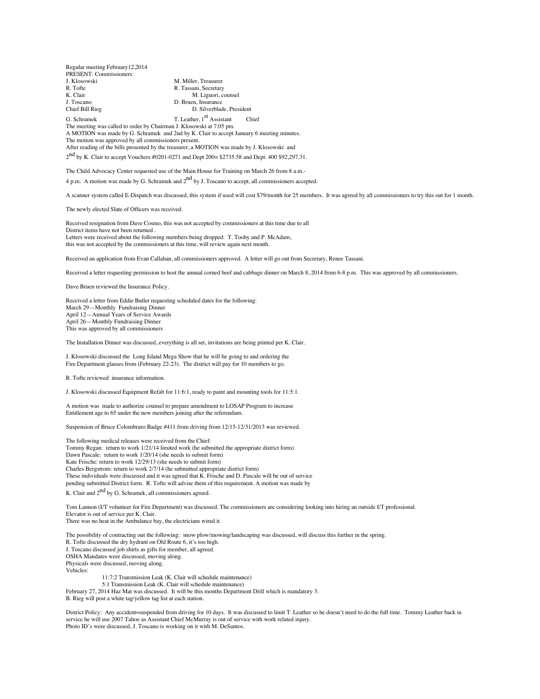Regular meeting February12,2014 PRESENT: Commissioners: J. Klosowski M. Miller, Treasurer<br>R. Tofte R. Tofte R. Tassani. Secretary R. Tassani, Secretary<br>
K. Clair<br>
M. Liguori, c K. Clair M. Liguori, counsel<br>
J. Toscano<br>
D. Bruen, Insurance J. Toscano D. Bruen, Insurance D. Silverblade, President G. Schramek T. Leather,  $1<sup>st</sup>$  Assistant Chief The meeting was called to order by Chairman J. Klosowski at 7:05 pm. A MOTION was made by G. Schramek and 2nd by K. Clair to accept January 6 meeting minutes. The motion was approved by all commissioners present.

After reading of the bills presented by the treasurer, a MOTION was made by J. Klosowski and

 $2<sup>nd</sup>$  by K. Clair to accept Vouchers #0201-0271 and Dept 200= \$2735.58 and Dept. 400 \$92,297.31.

The Child Advocacy Center requested use of the Main House for Training on March 26 from 8 a.m.- 4 p.m. A motion was made by G. Schramek and  $2<sup>nd</sup>$  by J. Toscano to accept, all commissioners accepted.

A scanner system called E-Dispatch was discussed, this system if used will cost \$79/month for 25 members. It was agreed by all commissioners to try this out for 1 month.

The newly elected Slate of Officers was received.

Received resignation from Dave Cosmo, this was not accepted by commissioners at this time due to all District items have not been returned . Letters were received about the following members being dropped: T. Toohy and P. McAdam, this was not accepted by the commissioners at this time, will review again next month.

Received an application from Evan Callahan, all commissioners approved. A letter will go out from Secretary, Renee Tassani.

Received a letter requesting permission to host the annual corned beef and cabbage dinner on March 8, 2014 from 6-8 p.m. This was approved by all commissioners.

Dave Bruen reviewed the Insurance Policy.

Received a letter from Eddie Butler requesting scheduled dates for the following: March 29—Monthly Fundraising Dinner April 12—Annual Years of Service Awards April 26—Monthly Fundraising Dinner This was approved by all commissioners

The Installation Dinner was discussed, everything is all set, invitations are being printed per K. Clair.

J. Klosowski discussed the Long Island Mega Show that he will be going to and ordering the Fire Department glasses from (February 22-23). The district will pay for 10 members to go.

R. Tofte reviewed insurance information.

J. Klosowski discussed Equipment Refab for 11:6:1, ready to paint and mounting tools for 11:5:1.

A motion was made to authorize counsel to prepare amendment to LOSAP Program to increase Entitlement age to 65 under the new members joining after the referendum.

Suspension of Bruce Colombraro Badge #411 from driving from 12/15-12/31/2013 was reviewed.

The following medical releases were received from the Chief: Tommy Regan: return to work 1/21/14 limited work (he submitted the appropriate district form) Dawn Pascale: return to work 1/20/14 (she needs to submit form) Kate Frische: return to work 12/29/13 (she needs to submit form) Charles Bergstrom: return to work 2/7/14 (he submitted appropriate district form) These individuals were discussed and it was agreed that K. Frische and D. Pascale will be out of service pending submitted District form. R. Tofte will advise them of this requirement. A motion was made by

K. Clair and 2<sup>nd</sup> by G. Schramek, all commissioners agreed.

Tom Lannon (I/T volunteer for Fire Department) was discussed. The commissioners are considering looking into hiring an outside I/T professional. Elevator is out of service per K. Clair. There was no heat in the Ambulance bay, the electricians wired it.

The possibility of contracting out the following: snow plow/mowing/landscaping was discussed, will discuss this further in the spring. R. Tofte discussed the dry hydrant on Old Route 6, it's too high. J. Toscano discussed job shirts as gifts for member, all agreed. OSHA Mandates were discussed, moving along. Physicals were discussed, moving along. Vehicles: 11:7:2 Transmission Leak (K. Clair will schedule maintenance) 5:1 Transmission Leak (K. Clair will schedule maintenance)

February 27, 2014 Haz Mat was discussed. It will be this months Department Drill which is mandatory 3. B. Rieg will post a white tag/yellow tag list at each station.

District Policy: Any accident=suspended from driving for 10 days. It was discussed to limit T. Leather so he doesn't need to do the full time. Tommy Leather back in service he will use 2007 Tahoe as Assistant Chief McMurray is out of service with work related injury. Photo ID's were discussed, J. Toscano is working on it with M. DeSantos.